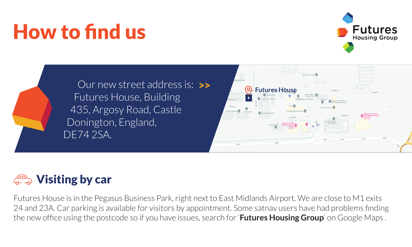# How to find us







#### **CANG Visiting by car**

Futures House is in the Pegasus Business Park, right next to East Midlands Airport. We are close to M1 exits 24 and 23A. Car parking is available for visitors by appointment. Some satnav users have had problems finding the new office using the postcode so if you have issues, search for '**Futures Housing Group**' on Google Maps .